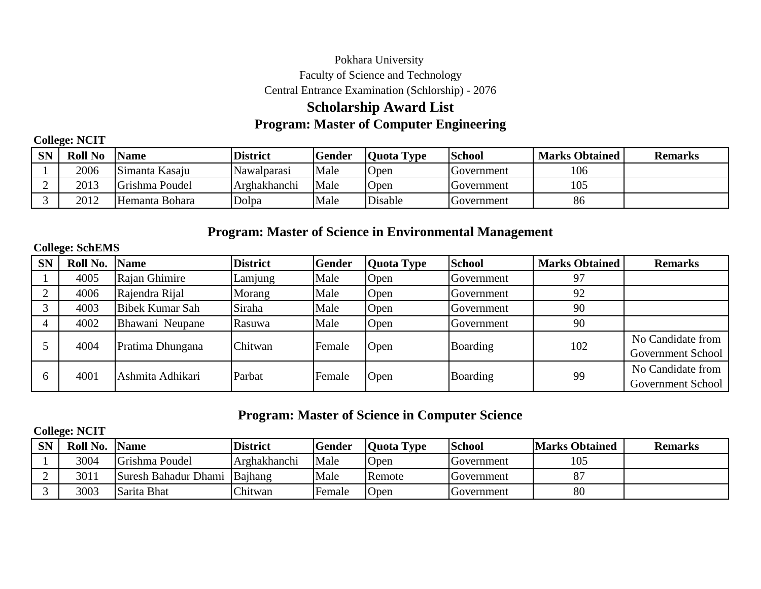## Pokhara University Faculty of Science and Technology Central Entrance Examination (Schlorship) - 2076

# **Program: Master of Computer Engineering Scholarship Award List**

**College: NCIT**

| CN.<br>OP. | <b>Roll No</b> | <b>Name</b>    | <b>District</b> | <b>Gender</b> | 'Quota Type | <b>School</b> | <b>Marks Obtained</b> | <b>Remarks</b> |
|------------|----------------|----------------|-----------------|---------------|-------------|---------------|-----------------------|----------------|
|            | 2006           | Simanta Kasaju | Nawalparasi     | Male          | Open        | Government    | 106                   |                |
|            | 2013           | Grishma Poudel | Arghakhanchi    | Male          | Open        | Government    | 105                   |                |
|            | 2012           | Hemanta Bohara | Dolpa           | Male          | Disable     | Government    | 86                    |                |

## **Program: Master of Science in Environmental Management**

### **College: SchEMS**

| <b>SN</b>      | Roll No. | <b>Name</b>      | <b>District</b> | <b>Gender</b> | Quota Type | <b>School</b> | <b>Marks Obtained</b> | <b>Remarks</b>                         |
|----------------|----------|------------------|-----------------|---------------|------------|---------------|-----------------------|----------------------------------------|
|                | 4005     | Rajan Ghimire    | Lamjung         | Male          | Open       | Government    | 97                    |                                        |
|                | 4006     | Rajendra Rijal   | Morang          | Male          | Open       | Government    | 92                    |                                        |
| $\mathbf{c}$   | 4003     | Bibek Kumar Sah  | Siraha          | Male          | Open       | Government    | 90                    |                                        |
| $\overline{4}$ | 4002     | Bhawani Neupane  | Rasuwa          | Male          | Open       | Government    | 90                    |                                        |
|                | 4004     | Pratima Dhungana | Chitwan         | Female        | Open       | Boarding      | 102                   | No Candidate from<br>Government School |
|                | 4001     | Ashmita Adhikari | Parbat          | Female        | Open       | Boarding      | 99                    | No Candidate from<br>Government School |

## **Program: Master of Science in Computer Science**

### **College: NCIT**

| CN<br><u>ו ג</u> | Roll No. | <b>Name</b>                  | <b>District</b> | <b>Gender</b> | <b>Ouota</b> Type | <b>School</b> | <b>Marks Obtained</b> | <b>Remarks</b> |
|------------------|----------|------------------------------|-----------------|---------------|-------------------|---------------|-----------------------|----------------|
|                  | 3004     | Grishma Poudel               | Arghakhanchi    | Male          | <b>O</b> pen      | Government    | 105                   |                |
|                  | 3011     | Suresh Bahadur Dhami Bajhang |                 | Male          | Remote            | Government    | 87                    |                |
|                  | 3003     | Sarita Bhat                  | Chitwan         | Female        | <b>O</b> pen      | Government    | 80                    |                |